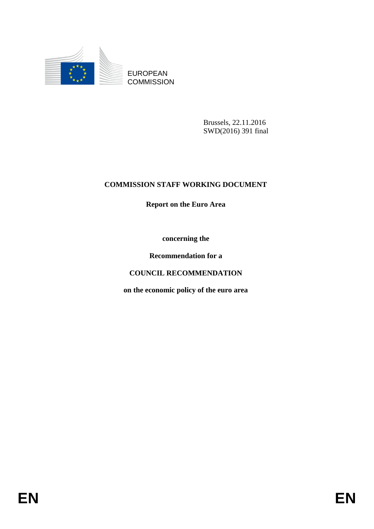

EUROPEAN **COMMISSION** 

> Brussels, 22.11.2016 SWD(2016) 391 final

## **COMMISSION STAFF WORKING DOCUMENT**

**Report on the Euro Area**

**concerning the** 

**Recommendation for a**

**COUNCIL RECOMMENDATION**

**on the economic policy of the euro area**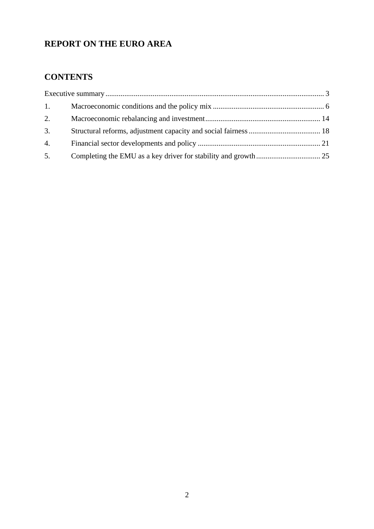# **REPORT ON THE EURO AREA**

## **CONTENTS**

| 1. |  |  |
|----|--|--|
| 2. |  |  |
| 3. |  |  |
| 4. |  |  |
| 5. |  |  |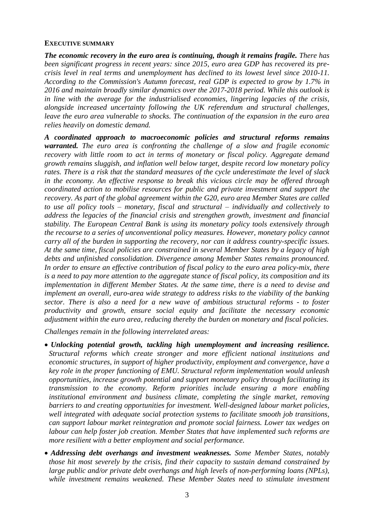#### <span id="page-2-0"></span>**EXECUTIVE SUMMARY**

*The economic recovery in the euro area is continuing, though it remains fragile. There has been significant progress in recent years: since 2015, euro area GDP has recovered its precrisis level in real terms and unemployment has declined to its lowest level since 2010-11. According to the Commission's Autumn forecast, real GDP is expected to grow by 1.7% in 2016 and maintain broadly similar dynamics over the 2017-2018 period. While this outlook is in line with the average for the industrialised economies, lingering legacies of the crisis, alongside increased uncertainty following the UK referendum and structural challenges, leave the euro area vulnerable to shocks. The continuation of the expansion in the euro area relies heavily on domestic demand.* 

*A coordinated approach to macroeconomic policies and structural reforms remains warranted. The euro area is confronting the challenge of a slow and fragile economic recovery with little room to act in terms of monetary or fiscal policy. Aggregate demand growth remains sluggish, and inflation well below target, despite record low monetary policy rates. There is a risk that the standard measures of the cycle underestimate the level of slack in the economy. An effective response to break this vicious circle may be offered through coordinated action to mobilise resources for public and private investment and support the recovery. As part of the global agreement within the G20, euro area Member States are called to use all policy tools – monetary, fiscal and structural – individually and collectively to address the legacies of the financial crisis and strengthen growth, investment and financial stability. The European Central Bank is using its monetary policy tools extensively through the recourse to a series of unconventional policy measures. However, monetary policy cannot carry all of the burden in supporting the recovery, nor can it address country-specific issues. At the same time, fiscal policies are constrained in several Member States by a legacy of high debts and unfinished consolidation. Divergence among Member States remains pronounced. In order to ensure an effective contribution of fiscal policy to the euro area policy-mix, there is a need to pay more attention to the aggregate stance of fiscal policy, its composition and its implementation in different Member States. At the same time, there is a need to devise and implement an overall, euro-area wide strategy to address risks to the viability of the banking sector. There is also a need for a new wave of ambitious structural reforms - to foster productivity and growth, ensure social equity and facilitate the necessary economic adjustment within the euro area, reducing thereby the burden on monetary and fiscal policies.*

*Challenges remain in the following interrelated areas:*

- *Unlocking potential growth, tackling high unemployment and increasing resilience. Structural reforms which create stronger and more efficient national institutions and economic structures, in support of higher productivity, employment and convergence, have a key role in the proper functioning of EMU. Structural reform implementation would unleash opportunities, increase growth potential and support monetary policy through facilitating its transmission to the economy. Reform priorities include ensuring a more enabling institutional environment and business climate, completing the single market, removing barriers to and creating opportunities for investment. Well-designed labour market policies, well integrated with adequate social protection systems to facilitate smooth job transitions, can support labour market reintegration and promote social fairness. Lower tax wedges on labour can help foster job creation. Member States that have implemented such reforms are more resilient with a better employment and social performance.*
- *Addressing debt overhangs and investment weaknesses. Some Member States, notably those hit most severely by the crisis, find their capacity to sustain demand constrained by large public and/or private debt overhangs and high levels of non-performing loans (NPLs), while investment remains weakened. These Member States need to stimulate investment*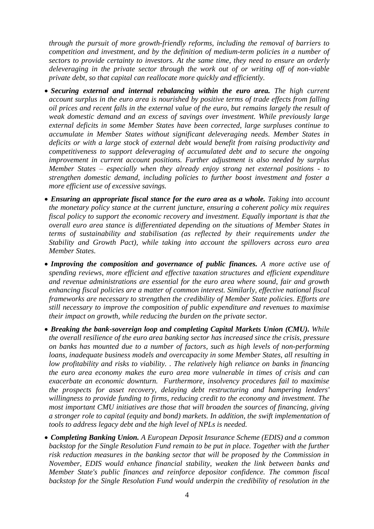*through the pursuit of more growth-friendly reforms, including the removal of barriers to competition and investment, and by the definition of medium-term policies in a number of sectors to provide certainty to investors. At the same time, they need to ensure an orderly deleveraging in the private sector through the work out of or writing off of non-viable private debt, so that capital can reallocate more quickly and efficiently.* 

- *Securing external and internal rebalancing within the euro area. The high current account surplus in the euro area is nourished by positive terms of trade effects from falling oil prices and recent falls in the external value of the euro, but remains largely the result of weak domestic demand and an excess of savings over investment. While previously large external deficits in some Member States have been corrected, large surpluses continue to accumulate in Member States without significant deleveraging needs. Member States in deficits or with a large stock of external debt would benefit from raising productivity and competitiveness to support deleveraging of accumulated debt and to secure the ongoing improvement in current account positions. Further adjustment is also needed by surplus Member States – especially when they already enjoy strong net external positions - to strengthen domestic demand, including policies to further boost investment and foster a more efficient use of excessive savings.*
- **Ensuring an appropriate fiscal stance for the euro area as a whole.** Taking into account *the monetary policy stance at the current juncture, ensuring a coherent policy mix requires fiscal policy to support the economic recovery and investment. Equally important is that the overall euro area stance is differentiated depending on the situations of Member States in terms of sustainability and stabilisation (as reflected by their requirements under the Stability and Growth Pact), while taking into account the spillovers across euro area Member States.*
- *Improving the composition and governance of public finances. A more active use of spending reviews, more efficient and effective taxation structures and efficient expenditure and revenue administrations are essential for the euro area where sound, fair and growth enhancing fiscal policies are a matter of common interest. Similarly, effective national fiscal frameworks are necessary to strengthen the credibility of Member State policies. Efforts are still necessary to improve the composition of public expenditure and revenues to maximise their impact on growth, while reducing the burden on the private sector.*
- *Breaking the bank-sovereign loop and completing Capital Markets Union (CMU). While the overall resilience of the euro area banking sector has increased since the crisis, pressure on banks has mounted due to a number of factors, such as high levels of non-performing loans, inadequate business models and overcapacity in some Member States, all resulting in low profitability and risks to viability. . The relatively high reliance on banks in financing the euro area economy makes the euro area more vulnerable in times of crisis and can exacerbate an economic downturn. Furthermore, insolvency procedures fail to maximise the prospects for asset recovery, delaying debt restructuring and hampering lenders' willingness to provide funding to firms, reducing credit to the economy and investment. The most important CMU initiatives are those that will broaden the sources of financing, giving a stronger role to capital (equity and bond) markets. In addition, the swift implementation of tools to address legacy debt and the high level of NPLs is needed.*
- *Completing Banking Union. A European Deposit Insurance Scheme (EDIS) and a common backstop for the Single Resolution Fund remain to be put in place. Together with the further risk reduction measures in the banking sector that will be proposed by the Commission in November, EDIS would enhance financial stability, weaken the link between banks and Member State's public finances and reinforce depositor confidence. The common fiscal backstop for the Single Resolution Fund would underpin the credibility of resolution in the*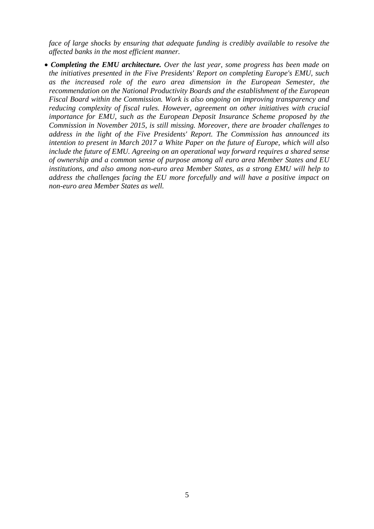*face of large shocks by ensuring that adequate funding is credibly available to resolve the affected banks in the most efficient manner.*

 *Completing the EMU architecture. Over the last year, some progress has been made on the initiatives presented in the Five Presidents' Report on completing Europe's EMU, such as the increased role of the euro area dimension in the European Semester, the recommendation on the National Productivity Boards and the establishment of the European Fiscal Board within the Commission. Work is also ongoing on improving transparency and reducing complexity of fiscal rules. However, agreement on other initiatives with crucial importance for EMU, such as the European Deposit Insurance Scheme proposed by the Commission in November 2015, is still missing. Moreover, there are broader challenges to address in the light of the Five Presidents' Report. The Commission has announced its intention to present in March 2017 a White Paper on the future of Europe, which will also include the future of EMU. Agreeing on an operational way forward requires a shared sense of ownership and a common sense of purpose among all euro area Member States and EU institutions, and also among non-euro area Member States, as a strong EMU will help to address the challenges facing the EU more forcefully and will have a positive impact on non-euro area Member States as well.*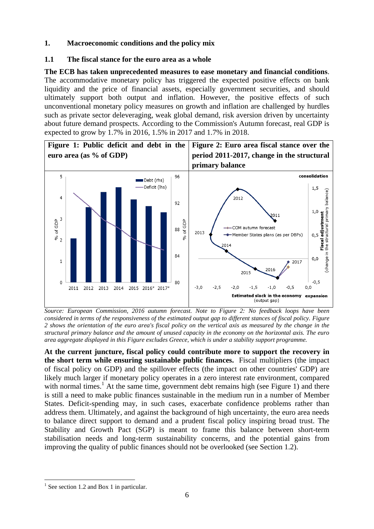## <span id="page-5-0"></span>**1. Macroeconomic conditions and the policy mix**

## **1.1 The fiscal stance for the euro area as a whole**

**The ECB has taken unprecedented measures to ease monetary and financial conditions**. The accommodative monetary policy has triggered the expected positive effects on bank liquidity and the price of financial assets, especially government securities, and should ultimately support both output and inflation. However, the positive effects of such unconventional monetary policy measures on growth and inflation are challenged by hurdles such as private sector deleveraging, weak global demand, risk aversion driven by uncertainty about future demand prospects. According to the Commission's Autumn forecast, real GDP is expected to grow by 1.7% in 2016, 1.5% in 2017 and 1.7% in 2018.



*Source: European Commission, 2016 autumn forecast. Note to Figure 2: No feedback loops have been considered in terms of the responsiveness of the estimated output gap to different stances of fiscal policy. Figure 2 shows the orientation of the euro area's fiscal policy on the vertical axis as measured by the change in the structural primary balance and the amount of unused capacity in the economy on the horizontal axis. The euro area aggregate displayed in this Figure excludes Greece, which is under a stability support programme.*

**At the current juncture, fiscal policy could contribute more to support the recovery in the short term while ensuring sustainable public finances.** Fiscal multipliers (the impact of fiscal policy on GDP) and the spillover effects (the impact on other countries' GDP) are likely much larger if monetary policy operates in a zero interest rate environment, compared with normal times.<sup>1</sup> At the same time, government debt remains high (see Figure 1) and there is still a need to make public finances sustainable in the medium run in a number of Member States. Deficit-spending may, in such cases, exacerbate confidence problems rather than address them. Ultimately, and against the background of high uncertainty, the euro area needs to balance direct support to demand and a prudent fiscal policy inspiring broad trust. The Stability and Growth Pact (SGP) is meant to frame this balance between short-term stabilisation needs and long-term sustainability concerns, and the potential gains from improving the quality of public finances should not be overlooked (see Section 1.2).

**<sup>.</sup>** <sup>1</sup> See section 1.2 and Box 1 in particular.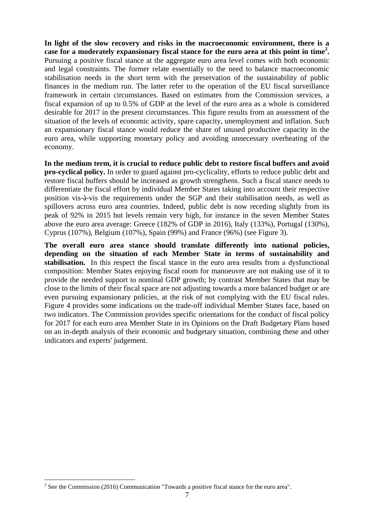**In light of the slow recovery and risks in the macroeconomic environment, there is a case for a moderately expansionary fiscal stance for the euro area at this point in time<sup>2</sup> .**  Pursuing a positive fiscal stance at the aggregate euro area level comes with both economic and legal constraints. The former relate essentially to the need to balance macroeconomic stabilisation needs in the short term with the preservation of the sustainability of public finances in the medium run. The latter refer to the operation of the EU fiscal surveillance framework in certain circumstances. Based on estimates from the Commission services, a fiscal expansion of up to 0.5% of GDP at the level of the euro area as a whole is considered desirable for 2017 in the present circumstances. This figure results from an assessment of the situation of the levels of economic activity, spare capacity, unemployment and inflation. Such an expansionary fiscal stance would reduce the share of unused productive capacity in the euro area, while supporting monetary policy and avoiding unnecessary overheating of the economy.

**In the medium term, it is crucial to reduce public debt to restore fiscal buffers and avoid pro-cyclical policy.** In order to guard against pro-cyclicality, efforts to reduce public debt and restore fiscal buffers should be increased as growth strengthens. Such a fiscal stance needs to differentiate the fiscal effort by individual Member States taking into account their respective position vis-à-vis the requirements under the SGP and their stabilisation needs, as well as spillovers across euro area countries. Indeed, public debt is now receding slightly from its peak of 92% in 2015 but levels remain very high, for instance in the seven Member States above the euro area average: Greece (182% of GDP in 2016), Italy (133%), Portugal (130%), Cyprus (107%), Belgium (107%), Spain (99%) and France (96%) (see Figure 3).

**The overall euro area stance should translate differently into national policies, depending on the situation of each Member State in terms of sustainability and stabilisation.** In this respect the fiscal stance in the euro area results from a dysfunctional composition: Member States enjoying fiscal room for manoeuvre are not making use of it to provide the needed support to nominal GDP growth; by contrast Member States that may be close to the limits of their fiscal space are not adjusting towards a more balanced budget or are even pursuing expansionary policies, at the risk of not complying with the EU fiscal rules. Figure 4 provides some indications on the trade-off individual Member States face, based on two indicators. The Commission provides specific orientations for the conduct of fiscal policy for 2017 for each euro area Member State in its Opinions on the Draft Budgetary Plans based on an in-depth analysis of their economic and budgetary situation, combining these and other indicators and experts' judgement.

<sup>&</sup>lt;sup>2</sup> See the Commission (2016) Communication "Towards a positive fiscal stance for the euro area".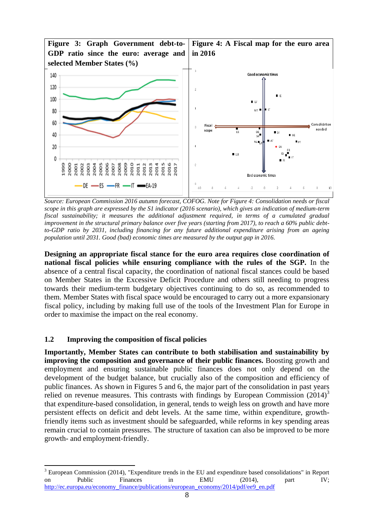

*Source: European Commission 2016 autumn forecast, COFOG. Note for Figure 4: Consolidation needs or fiscal scope in this graph are expressed by the S1 indicator (2016 scenario), which gives an indication of medium-term fiscal sustainability; it measures the additional adjustment required, in terms of a cumulated gradual improvement in the structural primary balance over five years (starting from 2017), to reach a 60% public debtto-GDP ratio by 2031, including financing for any future additional expenditure arising from an ageing population until 2031. Good (bad) economic times are measured by the output gap in 2016.*

**Designing an appropriate fiscal stance for the euro area requires close coordination of national fiscal policies while ensuring compliance with the rules of the SGP.** In the absence of a central fiscal capacity, the coordination of national fiscal stances could be based on Member States in the Excessive Deficit Procedure and others still needing to progress towards their medium-term budgetary objectives continuing to do so, as recommended to them. Member States with fiscal space would be encouraged to carry out a more expansionary fiscal policy, including by making full use of the tools of the Investment Plan for Europe in order to maximise the impact on the real economy.

## **1.2 Improving the composition of fiscal policies**

**Importantly, Member States can contribute to both stabilisation and sustainability by improving the composition and governance of their public finances.** Boosting growth and employment and ensuring sustainable public finances does not only depend on the development of the budget balance, but crucially also of the composition and efficiency of public finances. As shown in Figures 5 and 6, the major part of the consolidation in past years relied on revenue measures. This contrasts with findings by European Commission  $(2014)^3$ that expenditure-based consolidation, in general, tends to weigh less on growth and have more persistent effects on deficit and debt levels. At the same time, within expenditure, growthfriendly items such as investment should be safeguarded, while reforms in key spending areas remain crucial to contain pressures. The structure of taxation can also be improved to be more growth- and employment-friendly.

<sup>1</sup> <sup>3</sup> European Commission (2014), "Expenditure trends in the EU and expenditure based consolidations" in Report on Public Finances in EMU (2014), part IV; [http://ec.europa.eu/economy\\_finance/publications/european\\_economy/2014/pdf/ee9\\_en.pdf](http://ec.europa.eu/economy_finance/publications/european_economy/2014/pdf/ee9_en.pdf)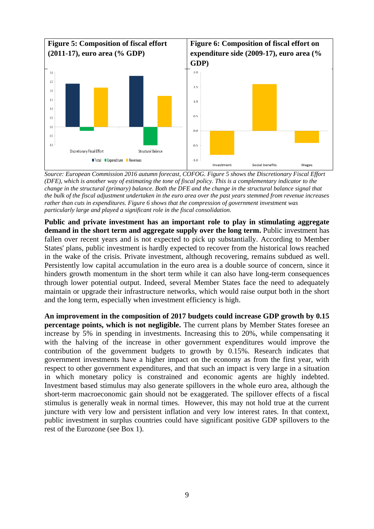

*Source: European Commission 2016 autumn forecast, COFOG. Figure 5 shows the Discretionary Fiscal Effort (DFE), which is another way of estimating the tone of fiscal policy. This is a complementary indicator to the change in the structural (primary) balance. Both the DFE and the change in the structural balance signal that the bulk of the fiscal adjustment undertaken in the euro area over the past years stemmed from revenue increases rather than cuts in expenditures. Figure 6 shows that the compression of government investment was particularly large and played a significant role in the fiscal consolidation.*

**Public and private investment has an important role to play in stimulating aggregate demand in the short term and aggregate supply over the long term.** Public investment has fallen over recent years and is not expected to pick up substantially. According to Member States' plans, public investment is hardly expected to recover from the historical lows reached in the wake of the crisis. Private investment, although recovering, remains subdued as well. Persistently low capital accumulation in the euro area is a double source of concern, since it hinders growth momentum in the short term while it can also have long-term consequences through lower potential output. Indeed, several Member States face the need to adequately maintain or upgrade their infrastructure networks, which would raise output both in the short and the long term, especially when investment efficiency is high.

**An improvement in the composition of 2017 budgets could increase GDP growth by 0.15 percentage points, which is not negligible.** The current plans by Member States foresee an increase by 5% in spending in investments. Increasing this to 20%, while compensating it with the halving of the increase in other government expenditures would improve the contribution of the government budgets to growth by 0.15%. Research indicates that government investments have a higher impact on the economy as from the first year, with respect to other government expenditures, and that such an impact is very large in a situation in which monetary policy is constrained and economic agents are highly indebted. Investment based stimulus may also generate spillovers in the whole euro area, although the short-term macroeconomic gain should not be exaggerated. The spillover effects of a fiscal stimulus is generally weak in normal times. However, this may not hold true at the current juncture with very low and persistent inflation and very low interest rates. In that context, public investment in surplus countries could have significant positive GDP spillovers to the rest of the Eurozone (see Box 1).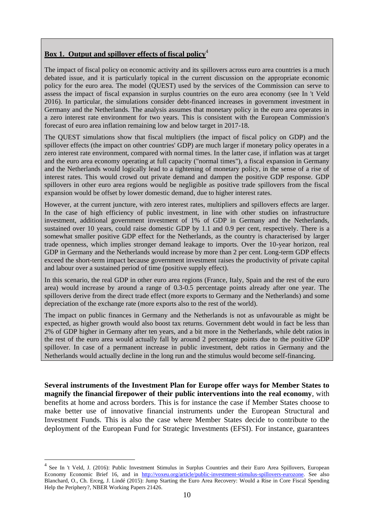## **Box 1. Output and spillover effects of fiscal policy**<sup>4</sup>

The impact of fiscal policy on economic activity and its spillovers across euro area countries is a much debated issue, and it is particularly topical in the current discussion on the appropriate economic policy for the euro area. The model (QUEST) used by the services of the Commission can serve to assess the impact of fiscal expansion in surplus countries on the euro area economy (see In 't Veld 2016). In particular, the simulations consider debt-financed increases in government investment in Germany and the Netherlands. The analysis assumes that monetary policy in the euro area operates in a zero interest rate environment for two years. This is consistent with the European Commission's forecast of euro area inflation remaining low and below target in 2017-18.

The QUEST simulations show that fiscal multipliers (the impact of fiscal policy on GDP) and the spillover effects (the impact on other countries' GDP) are much larger if monetary policy operates in a zero interest rate environment, compared with normal times. In the latter case, if inflation was at target and the euro area economy operating at full capacity ("normal times"), a fiscal expansion in Germany and the Netherlands would logically lead to a tightening of monetary policy, in the sense of a rise of interest rates. This would crowd out private demand and dampen the positive GDP response. GDP spillovers in other euro area regions would be negligible as positive trade spillovers from the fiscal expansion would be offset by lower domestic demand, due to higher interest rates.

However, at the current juncture, with zero interest rates, multipliers and spillovers effects are larger. In the case of high efficiency of public investment, in line with other studies on infrastructure investment, additional government investment of 1% of GDP in Germany and the Netherlands, sustained over 10 years, could raise domestic GDP by 1.1 and 0.9 per cent, respectively. There is a somewhat smaller positive GDP effect for the Netherlands, as the country is characterised by larger trade openness, which implies stronger demand leakage to imports. Over the 10-year horizon, real GDP in Germany and the Netherlands would increase by more than 2 per cent. Long-term GDP effects exceed the short-term impact because government investment raises the productivity of private capital and labour over a sustained period of time (positive supply effect).

In this scenario, the real GDP in other euro area regions (France, Italy, Spain and the rest of the euro area) would increase by around a range of 0.3-0.5 percentage points already after one year. The spillovers derive from the direct trade effect (more exports to Germany and the Netherlands) and some depreciation of the exchange rate (more exports also to the rest of the world).

The impact on public finances in Germany and the Netherlands is not as unfavourable as might be expected, as higher growth would also boost tax returns. Government debt would in fact be less than 2% of GDP higher in Germany after ten years, and a bit more in the Netherlands, while debt ratios in the rest of the euro area would actually fall by around 2 percentage points due to the positive GDP spillover. In case of a permanent increase in public investment, debt ratios in Germany and the Netherlands would actually decline in the long run and the stimulus would become self-financing.

**Several instruments of the Investment Plan for Europe offer ways for Member States to magnify the financial firepower of their public interventions into the real economy**, with benefits at home and across borders. This is for instance the case if Member States choose to make better use of innovative financial instruments under the European Structural and Investment Funds. This is also the case where Member States decide to contribute to the deployment of the European Fund for Strategic Investments (EFSI). For instance, guarantees

<sup>&</sup>lt;sup>4</sup> See In 't Veld, J. (2016): Public Investment Stimulus in Surplus Countries and their Euro Area Spillovers, European Economy Economic Brief 16, and in [http://voxeu.org/article/public-investment-stimulus-spillovers-eurozone.](http://voxeu.org/article/public-investment-stimulus-spillovers-eurozone) See also Blanchard, O., Ch. Erceg, J. Lindé (2015): Jump Starting the Euro Area Recovery: Would a Rise in Core Fiscal Spending Help the Periphery?, NBER Working Papers 21426.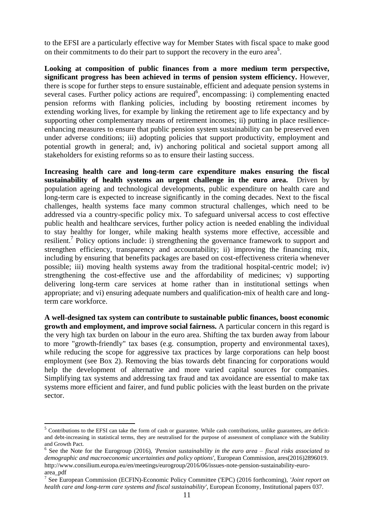to the EFSI are a particularly effective way for Member States with fiscal space to make good on their commitments to do their part to support the recovery in the euro area<sup>5</sup>.

**Looking at composition of public finances from a more medium term perspective, significant progress has been achieved in terms of pension system efficiency.** However, there is scope for further steps to ensure sustainable, efficient and adequate pension systems in several cases. Further policy actions are required<sup>6</sup>, encompassing: i) complementing enacted pension reforms with flanking policies, including by boosting retirement incomes by extending working lives, for example by linking the retirement age to life expectancy and by supporting other complementary means of retirement incomes; ii) putting in place resilienceenhancing measures to ensure that public pension system sustainability can be preserved even under adverse conditions; iii) adopting policies that support productivity, employment and potential growth in general; and, iv) anchoring political and societal support among all stakeholders for existing reforms so as to ensure their lasting success.

**Increasing health care and long-term care expenditure makes ensuring the fiscal sustainability of health systems an urgent challenge in the euro area.** Driven by population ageing and technological developments, public expenditure on health care and long-term care is expected to increase significantly in the coming decades. Next to the fiscal challenges, health systems face many common structural challenges, which need to be addressed via a country-specific policy mix. To safeguard universal access to cost effective public health and healthcare services, further policy action is needed enabling the individual to stay healthy for longer, while making health systems more effective, accessible and resilient.<sup>7</sup> Policy options include: i) strengthening the governance framework to support and strengthen efficiency, transparency and accountability; ii) improving the financing mix, including by ensuring that benefits packages are based on cost-effectiveness criteria whenever possible; iii) moving health systems away from the traditional hospital-centric model; iv) strengthening the cost-effective use and the affordability of medicines; v) supporting delivering long-term care services at home rather than in institutional settings when appropriate; and vi) ensuring adequate numbers and qualification-mix of health care and longterm care workforce.

**A well-designed tax system can contribute to sustainable public finances, boost economic growth and employment, and improve social fairness.** A particular concern in this regard is the very high tax burden on labour in the euro area. Shifting the tax burden away from labour to more "growth-friendly" tax bases (e.g. consumption, property and environmental taxes), while reducing the scope for aggressive tax practices by large corporations can help boost employment (see Box 2). Removing the bias towards debt financing for corporations would help the development of alternative and more varied capital sources for companies. Simplifying tax systems and addressing tax fraud and tax avoidance are essential to make tax systems more efficient and fairer, and fund public policies with the least burden on the private sector.

1

 $5$  Contributions to the EFSI can take the form of cash or guarantee. While cash contributions, unlike guarantees, are deficitand debt-increasing in statistical terms, they are neutralised for the purpose of assessment of compliance with the Stability and Growth Pact.

<sup>6</sup> See the Note for the Eurogroup (2016), *'Pension sustainability in the euro area – fiscal risks associated to demographic and macroeconomic uncertainties and policy options'*, European Commission, ares(2016)2896019. http://www.consilium.europa.eu/en/meetings/eurogroup/2016/06/issues-note-pension-sustainability-euroarea\_pdf

<sup>7</sup> See European Commission (ECFIN)-Economic Policy Committee ('EPC) (2016 forthcoming), *'Joint report on health care and long-term care systems and fiscal sustainability'*, European Economy, Institutional papers 037.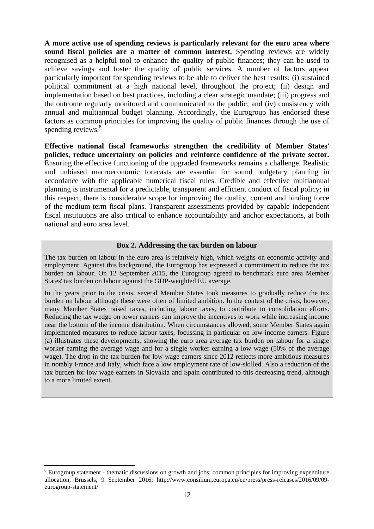**A more active use of spending reviews is particularly relevant for the euro area where sound fiscal policies are a matter of common interest.** Spending reviews are widely recognised as a helpful tool to enhance the quality of public finances; they can be used to achieve savings and foster the quality of public services. A number of factors appear particularly important for spending reviews to be able to deliver the best results: (i) sustained political commitment at a high national level, throughout the project; (ii) design and implementation based on best practices, including a clear strategic mandate; (iii) progress and the outcome regularly monitored and communicated to the public; and (iv) consistency with annual and multiannual budget planning. Accordingly, the Eurogroup has endorsed these factors as common principles for improving the quality of public finances through the use of spending reviews.<sup>8</sup>

**Effective national fiscal frameworks strengthen the credibility of Member States' policies, reduce uncertainty on policies and reinforce confidence of the private sector.**  Ensuring the effective functioning of the upgraded frameworks remains a challenge. Realistic and unbiased macroeconomic forecasts are essential for sound budgetary planning in accordance with the applicable numerical fiscal rules. Credible and effective multiannual planning is instrumental for a predictable, transparent and efficient conduct of fiscal policy; in this respect, there is considerable scope for improving the quality, content and binding force of the medium-term fiscal plans. Transparent assessments provided by capable independent fiscal institutions are also critical to enhance accountability and anchor expectations, at both national and euro area level.

#### **Box 2. Addressing the tax burden on labour**

The tax burden on labour in the euro area is relatively high, which weighs on economic activity and employment. Against this background, the Eurogroup has expressed a commitment to reduce the tax burden on labour. On 12 September 2015, the Eurogroup agreed to benchmark euro area Member States' tax burden on labour against the GDP-weighted EU average.

In the years prior to the crisis, several Member States took measures to gradually reduce the tax burden on labour although these were often of limited ambition. In the context of the crisis, however, many Member States raised taxes, including labour taxes, to contribute to consolidation efforts. Reducing the tax wedge on lower earners can improve the incentives to work while increasing income near the bottom of the income distribution. When circumstances allowed, some Member States again implemented measures to reduce labour taxes, focussing in particular on low-income earners. Figure (a) illustrates these developments, showing the euro area average tax burden on labour for a single worker earning the average wage and for a single worker earning a low wage (50% of the average wage). The drop in the tax burden for low wage earners since 2012 reflects more ambitious measures in notably France and Italy, which face a low employment rate of low-skilled. Also a reduction of the tax burden for low wage earners in Slovakia and Spain contributed to this decreasing trend, although to a more limited extent.

1

<sup>8</sup> Eurogroup statement - thematic discussions on growth and jobs: common principles for improving expenditure allocation, Brussels, 9 September 2016; http://www.consilium.europa.eu/en/press/press-releases/2016/09/09 eurogroup-statement/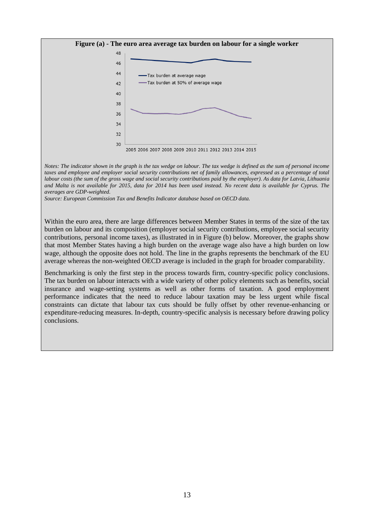

*Notes: The indicator shown in the graph is the tax wedge on labour. The tax wedge is defined as the sum of personal income taxes and employee and employer social security contributions net of family allowances, expressed as a percentage of total labour costs (the sum of the gross wage and social security contributions paid by the employer). As data for Latvia, Lithuania and Malta is not available for 2015, data for 2014 has been used instead. No recent data is available for Cyprus. The averages are GDP-weighted.*

*Source: European Commission Tax and Benefits Indicator database based on OECD data.*

Within the euro area, there are large differences between Member States in terms of the size of the tax burden on labour and its composition (employer social security contributions, employee social security contributions, personal income taxes), as illustrated in in Figure (b) below. Moreover, the graphs show that most Member States having a high burden on the average wage also have a high burden on low wage, although the opposite does not hold. The line in the graphs represents the benchmark of the EU average whereas the non-weighted OECD average is included in the graph for broader comparability.

Benchmarking is only the first step in the process towards firm, country-specific policy conclusions. The tax burden on labour interacts with a wide variety of other policy elements such as benefits, social insurance and wage-setting systems as well as other forms of taxation. A good employment performance indicates that the need to reduce labour taxation may be less urgent while fiscal constraints can dictate that labour tax cuts should be fully offset by other revenue-enhancing or expenditure-reducing measures. In-depth, country-specific analysis is necessary before drawing policy conclusions.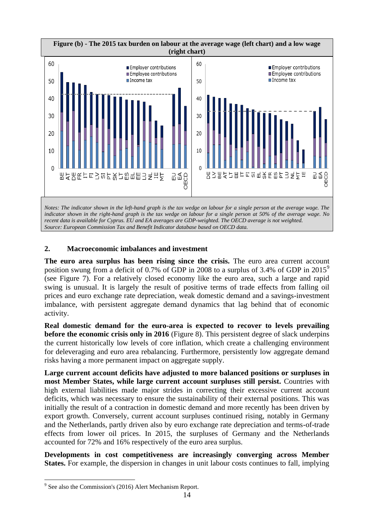

*recent data is available for Cyprus. EU and EA averages are GDP-weighted. The OECD average is not weighted. Source: European Commission Tax and Benefit Indicator database based on OECD data.*

## <span id="page-13-0"></span>**2. Macroeconomic imbalances and investment**

**The euro area surplus has been rising since the crisis.** The euro area current account position swung from a deficit of 0.7% of GDP in 2008 to a surplus of 3.4% of GDP in 2015<sup>9</sup> (see Figure 7). For a relatively closed economy like the euro area, such a large and rapid swing is unusual. It is largely the result of positive terms of trade effects from falling oil prices and euro exchange rate depreciation, weak domestic demand and a savings-investment imbalance, with persistent aggregate demand dynamics that lag behind that of economic activity.

**Real domestic demand for the euro-area is expected to recover to levels prevailing before the economic crisis only in 2016** (Figure 8). This persistent degree of slack underpins the current historically low levels of core inflation, which create a challenging environment for deleveraging and euro area rebalancing. Furthermore, persistently low aggregate demand risks having a more permanent impact on aggregate supply.

**Large current account deficits have adjusted to more balanced positions or surpluses in most Member States, while large current account surpluses still persist.** Countries with high external liabilities made major strides in correcting their excessive current account deficits, which was necessary to ensure the sustainability of their external positions. This was initially the result of a contraction in domestic demand and more recently has been driven by export growth. Conversely, current account surpluses continued rising, notably in Germany and the Netherlands, partly driven also by euro exchange rate depreciation and terms-of-trade effects from lower oil prices. In 2015, the surpluses of Germany and the Netherlands accounted for 72% and 16% respectively of the euro area surplus.

**Developments in cost competitiveness are increasingly converging across Member States.** For example, the dispersion in changes in unit labour costs continues to fall, implying

<sup>&</sup>lt;sup>9</sup> See also the Commission's (2016) Alert Mechanism Report.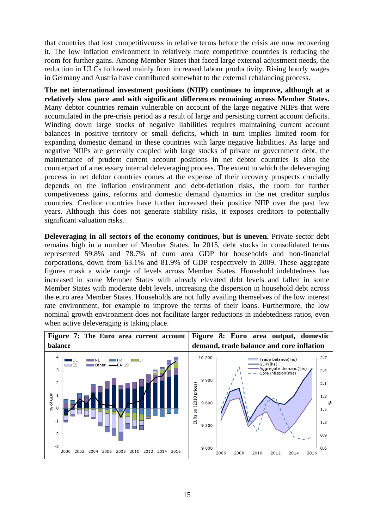that countries that lost competitiveness in relative terms before the crisis are now recovering it. The low inflation environment in relatively more competitive countries is reducing the room for further gains. Among Member States that faced large external adjustment needs, the reduction in ULCs followed mainly from increased labour productivity. Rising hourly wages in Germany and Austria have contributed somewhat to the external rebalancing process.

**The net international investment positions (NIIP) continues to improve, although at a relatively slow pace and with significant differences remaining across Member States.**  Many debtor countries remain vulnerable on account of the large negative NIIPs that were accumulated in the pre-crisis period as a result of large and persisting current account deficits. Winding down large stocks of negative liabilities requires maintaining current account balances in positive territory or small deficits, which in turn implies limited room for expanding domestic demand in these countries with large negative liabilities. As large and negative NIIPs are generally coupled with large stocks of private or government debt, the maintenance of prudent current account positions in net debtor countries is also the counterpart of a necessary internal deleveraging process. The extent to which the deleveraging process in net debtor countries comes at the expense of their recovery prospects crucially depends on the inflation environment and debt-deflation risks, the room for further competiveness gains, reforms and domestic demand dynamics in the net creditor surplus countries. Creditor countries have further increased their positive NIIP over the past few years. Although this does not generate stability risks, it exposes creditors to potentially significant valuation risks.

**Deleveraging in all sectors of the economy continues, but is uneven.** Private sector debt remains high in a number of Member States. In 2015, debt stocks in consolidated terms represented 59.8% and 78.7% of euro area GDP for households and non-financial corporations, down from 63.1% and 81.9% of GDP respectively in 2009. These aggregate figures mask a wide range of levels across Member States. Household indebtedness has increased in some Member States with already elevated debt levels and fallen in some Member States with moderate debt levels, increasing the dispersion in household debt across the euro area Member States. Households are not fully availing themselves of the low interest rate environment, for example to improve the terms of their loans. Furthermore, the low nominal growth environment does not facilitate larger reductions in indebtedness ratios, even when active deleveraging is taking place.

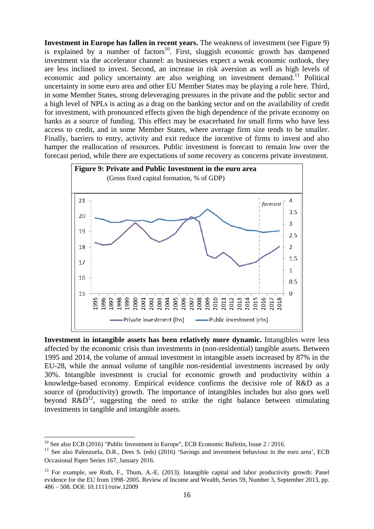**Investment in Europe has fallen in recent years.** The weakness of investment (see Figure 9) is explained by a number of factors<sup>10</sup>. First, sluggish economic growth has dampened investment via the accelerator channel: as businesses expect a weak economic outlook, they are less inclined to invest. Second, an increase in risk aversion as well as high levels of economic and policy uncertainty are also weighing on investment demand.<sup>11</sup> Political uncertainty in some euro area and other EU Member States may be playing a role here. Third, in some Member States, strong deleveraging pressures in the private and the public sector and a high level of NPLs is acting as a drag on the banking sector and on the availability of credit for investment, with pronounced effects given the high dependence of the private economy on banks as a source of funding. This effect may be exacerbated for small firms who have less access to credit, and in some Member States, where average firm size tends to be smaller. Finally, barriers to entry, activity and exit reduce the incentive of firms to invest and also hamper the reallocation of resources. Public investment is forecast to remain low over the forecast period, while there are expectations of some recovery as concerns private investment.



**Investment in intangible assets has been relatively more dynamic.** Intangibles were less affected by the economic crisis than investments in (non-residential) tangible assets. Between 1995 and 2014, the volume of annual investment in intangible assets increased by 87% in the EU-28, while the annual volume of tangible non-residential investments increased by only 30%. Intangible investment is crucial for economic growth and productivity within a knowledge-based economy. Empirical evidence confirms the decisive role of R&D as a source of (productivity) growth. The importance of intangibles includes but also goes well beyond  $R\&D^{12}$ , suggesting the need to strike the right balance between stimulating investments in tangible and intangible assets.

 $10$  See also ECB (2016) "Public Investment in Europe", ECB Economic Bulletin, Issue 2 / 2016.

<sup>&</sup>lt;sup>11</sup> See also Palenzuela, D.R., Dees S. (eds) (2016) 'Savings and investment behaviour in the euro area', ECB Occasional Paper Series 167, January 2016.

<sup>&</sup>lt;sup>12</sup> For example, see Roth, F., Thum, A.-E. (2013). Intangible capital and labor productivity growth: Panel evidence for the EU from 1998–2005. Review of Income and Wealth, Series 59, Number 3, September 2013, pp. 486 – 508. DOI: 10.1111/roiw.12009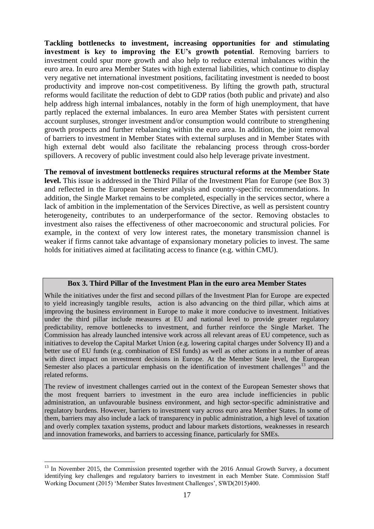**Tackling bottlenecks to investment, increasing opportunities for and stimulating investment is key to improving the EU's growth potential**. Removing barriers to investment could spur more growth and also help to reduce external imbalances within the euro area. In euro area Member States with high external liabilities, which continue to display very negative net international investment positions, facilitating investment is needed to boost productivity and improve non-cost competitiveness. By lifting the growth path, structural reforms would facilitate the reduction of debt to GDP ratios (both public and private) and also help address high internal imbalances, notably in the form of high unemployment, that have partly replaced the external imbalances. In euro area Member States with persistent current account surpluses, stronger investment and/or consumption would contribute to strengthening growth prospects and further rebalancing within the euro area. In addition, the joint removal of barriers to investment in Member States with external surpluses and in Member States with high external debt would also facilitate the rebalancing process through cross-border spillovers. A recovery of public investment could also help leverage private investment.

**The removal of investment bottlenecks requires structural reforms at the Member State level.** This issue is addressed in the Third Pillar of the Investment Plan for Europe (see Box 3) and reflected in the European Semester analysis and country-specific recommendations. In addition, the Single Market remains to be completed, especially in the services sector, where a lack of ambition in the implementation of the Services Directive, as well as persistent country heterogeneity, contributes to an underperformance of the sector. Removing obstacles to investment also raises the effectiveness of other macroeconomic and structural policies. For example, in the context of very low interest rates, the monetary transmission channel is weaker if firms cannot take advantage of expansionary monetary policies to invest. The same holds for initiatives aimed at facilitating access to finance (e.g. within CMU).

#### **Box 3. Third Pillar of the Investment Plan in the euro area Member States**

While the initiatives under the first and second pillars of the Investment Plan for Europe are expected to yield increasingly tangible results, action is also advancing on the third pillar, which aims at improving the business environment in Europe to make it more conducive to investment. Initiatives under the third pillar include measures at EU and national level to provide greater regulatory predictability, remove bottlenecks to investment, and further reinforce the Single Market. The Commission has already launched intensive work across all relevant areas of EU competence, such as initiatives to develop the Capital Market Union (e.g. lowering capital charges under Solvency II) and a better use of EU funds (e.g. combination of ESI funds) as well as other actions in a number of areas with direct impact on investment decisions in Europe. At the Member State level, the European Semester also places a particular emphasis on the identification of investment challenges $13$  and the related reforms.

The review of investment challenges carried out in the context of the European Semester shows that the most frequent barriers to investment in the euro area include inefficiencies in public administration, an unfavourable business environment, and high sector-specific administrative and regulatory burdens. However, barriers to investment vary across euro area Member States. In some of them, barriers may also include a lack of transparency in public administration, a high level of taxation and overly complex taxation systems, product and labour markets distortions, weaknesses in research and innovation frameworks, and barriers to accessing finance, particularly for SMEs.

1

<sup>&</sup>lt;sup>13</sup> In November 2015, the Commission presented together with the 2016 Annual Growth Survey, a document identifying key challenges and regulatory barriers to investment in each Member State. Commission Staff Working Document (2015) 'Member States Investment Challenges', SWD(2015)400.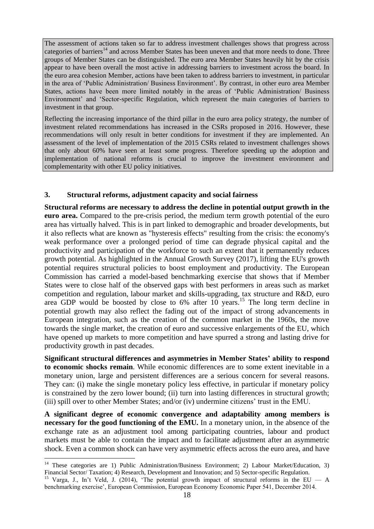The assessment of actions taken so far to address investment challenges shows that progress across categories of barriers<sup>14</sup> and across Member States has been uneven and that more needs to done. Three groups of Member States can be distinguished. The euro area Member States heavily hit by the crisis appear to have been overall the most active in addressing barriers to investment across the board. In the euro area cohesion Member, actions have been taken to address barriers to investment, in particular in the area of 'Public Administration/ Business Environment'. By contrast, in other euro area Member States, actions have been more limited notably in the areas of 'Public Administration/ Business Environment' and 'Sector-specific Regulation, which represent the main categories of barriers to investment in that group.

Reflecting the increasing importance of the third pillar in the euro area policy strategy, the number of investment related recommendations has increased in the CSRs proposed in 2016. However, these recommendations will only result in better conditions for investment if they are implemented. An assessment of the level of implementation of the 2015 CSRs related to investment challenges shows that only about 60% have seen at least some progress. Therefore speeding up the adoption and implementation of national reforms is crucial to improve the investment environment and complementarity with other EU policy initiatives.

## <span id="page-17-0"></span>**3. Structural reforms, adjustment capacity and social fairness**

**Structural reforms are necessary to address the decline in potential output growth in the euro area.** Compared to the pre-crisis period, the medium term growth potential of the euro area has virtually halved. This is in part linked to demographic and broader developments, but it also reflects what are known as "hysteresis effects" resulting from the crisis: the economy's weak performance over a prolonged period of time can degrade physical capital and the productivity and participation of the workforce to such an extent that it permanently reduces growth potential. As highlighted in the Annual Growth Survey (2017), lifting the EU's growth potential requires structural policies to boost employment and productivity. The European Commission has carried a model-based benchmarking exercise that shows that if Member States were to close half of the observed gaps with best performers in areas such as market competition and regulation, labour market and skills-upgrading, tax structure and R&D, euro area GDP would be boosted by close to  $6\%$  after 10 years.<sup>15</sup> The long term decline in potential growth may also reflect the fading out of the impact of strong advancements in European integration, such as the creation of the common market in the 1960s, the move towards the single market, the creation of euro and successive enlargements of the EU, which have opened up markets to more competition and have spurred a strong and lasting drive for productivity growth in past decades.

**Significant structural differences and asymmetries in Member States' ability to respond to economic shocks remain**. While economic differences are to some extent inevitable in a monetary union, large and persistent differences are a serious concern for several reasons. They can: (i) make the single monetary policy less effective, in particular if monetary policy is constrained by the zero lower bound; (ii) turn into lasting differences in structural growth; (iii) spill over to other Member States; and/or (iv) undermine citizens' trust in the EMU.

**A significant degree of economic convergence and adaptability among members is necessary for the good functioning of the EMU.** In a monetary union, in the absence of the exchange rate as an adjustment tool among participating countries, labour and product markets must be able to contain the impact and to facilitate adjustment after an asymmetric shock. Even a common shock can have very asymmetric effects across the euro area, and have

<sup>&</sup>lt;sup>14</sup> These categories are 1) Public Administration/Business Environment; 2) Labour Market/Education, 3) Financial Sector/ Taxation; 4) Research, Development and Innovation; and 5) Sector-specific Regulation.

<sup>&</sup>lt;sup>15</sup> Varga, J., In't Veld, J. (2014), 'The potential growth impact of structural reforms in the EU — A benchmarking exercise', European Commission, European Economy Economic Paper 541, December 2014.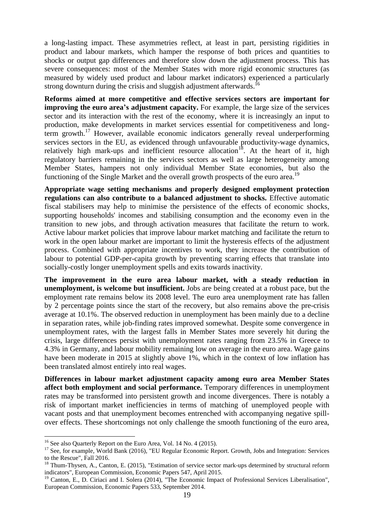a long-lasting impact. These asymmetries reflect, at least in part, persisting rigidities in product and labour markets, which hamper the response of both prices and quantities to shocks or output gap differences and therefore slow down the adjustment process. This has severe consequences: most of the Member States with more rigid economic structures (as measured by widely used product and labour market indicators) experienced a particularly strong downturn during the crisis and sluggish adjustment afterwards.<sup>16</sup>

**Reforms aimed at more competitive and effective services sectors are important for improving the euro area's adjustment capacity.** For example, the large size of the services sector and its interaction with the rest of the economy, where it is increasingly an input to production, make developments in market services essential for competitiveness and longterm growth.<sup>17</sup> However, available economic indicators generally reveal underperforming services sectors in the EU, as evidenced through unfavourable productivity-wage dynamics, relatively high mark-ups and inefficient resource allocation<sup>18</sup>. At the heart of it, high regulatory barriers remaining in the services sectors as well as large heterogeneity among Member States, hampers not only individual Member State economies, but also the functioning of the Single Market and the overall growth prospects of the euro area.<sup>19</sup>

**Appropriate wage setting mechanisms and properly designed employment protection regulations can also contribute to a balanced adjustment to shocks.** Effective automatic fiscal stabilisers may help to minimise the persistence of the effects of economic shocks, supporting households' incomes and stabilising consumption and the economy even in the transition to new jobs, and through activation measures that facilitate the return to work. Active labour market policies that improve labour market matching and facilitate the return to work in the open labour market are important to limit the hysteresis effects of the adjustment process. Combined with appropriate incentives to work, they increase the contribution of labour to potential GDP-per-capita growth by preventing scarring effects that translate into socially-costly longer unemployment spells and exits towards inactivity.

**The improvement in the euro area labour market, with a steady reduction in unemployment, is welcome but insufficient.** Jobs are being created at a robust pace, but the employment rate remains below its 2008 level. The euro area unemployment rate has fallen by 2 percentage points since the start of the recovery, but also remains above the pre-crisis average at 10.1%. The observed reduction in unemployment has been mainly due to a decline in separation rates, while job-finding rates improved somewhat. Despite some convergence in unemployment rates, with the largest falls in Member States more severely hit during the crisis, large differences persist with unemployment rates ranging from 23.5% in Greece to 4.3% in Germany, and labour mobility remaining low on average in the euro area. Wage gains have been moderate in 2015 at slightly above 1%, which in the context of low inflation has been translated almost entirely into real wages.

**Differences in labour market adjustment capacity among euro area Member States affect both employment and social performance.** Temporary differences in unemployment rates may be transformed into persistent growth and income divergences. There is notably a risk of important market inefficiencies in terms of matching of unemployed people with vacant posts and that unemployment becomes entrenched with accompanying negative spillover effects. These shortcomings not only challenge the smooth functioning of the euro area,

1

<sup>&</sup>lt;sup>16</sup> See also Quarterly Report on the Euro Area, Vol. 14 No. 4 (2015).

<sup>&</sup>lt;sup>17</sup> See, for example, World Bank (2016), "EU Regular Economic Report. Growth, Jobs and Integration: Services to the Rescue", Fall 2016.

<sup>&</sup>lt;sup>18</sup> Thum-Thysen, A., Canton, E. (2015), "Estimation of service sector mark-ups determined by structural reform indicators", European Commission, Economic Papers 547, April 2015.

<sup>&</sup>lt;sup>19</sup> Canton, E., D. Ciriaci and I. Solera (2014), "The Economic Impact of Professional Services Liberalisation", European Commission, Economic Papers 533, September 2014.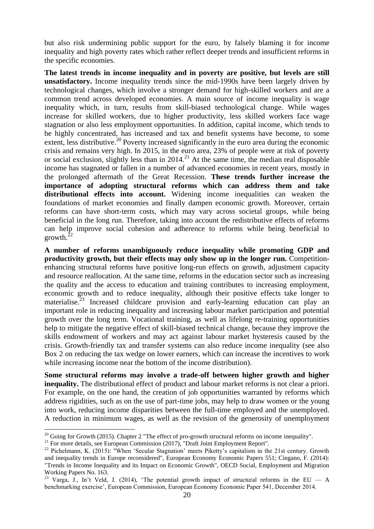but also risk undermining public support for the euro, by falsely blaming it for income inequality and high poverty rates which rather reflect deeper trends and insufficient reforms in the specific economies.

**The latest trends in income inequality and in poverty are positive, but levels are still unsatisfactory.** Income inequality trends since the mid-1990s have been largely driven by technological changes, which involve a stronger demand for high-skilled workers and are a common trend across developed economies. A main source of income inequality is wage inequality which, in turn, results from skill-biased technological change. While wages increase for skilled workers, due to higher productivity, less skilled workers face wage stagnation or also less employment opportunities. In addition, capital income, which tends to be highly concentrated, has increased and tax and benefit systems have become, to some extent, less distributive.<sup>20</sup> Poverty increased significantly in the euro area during the economic crisis and remains very high. In 2015, in the euro area, 23% of people were at risk of poverty or social exclusion, slightly less than in 2014.<sup>21</sup> At the same time, the median real disposable income has stagnated or fallen in a number of advanced economies in recent years, mostly in the prolonged aftermath of the Great Recession. **These trends further increase the importance of adopting structural reforms which can address them and take distributional effects into account.** Widening income inequalities can weaken the foundations of market economies and finally dampen economic growth. Moreover, certain reforms can have short-term costs, which may vary across societal groups, while being beneficial in the long run. Therefore, taking into account the redistributive effects of reforms can help improve social cohesion and adherence to reforms while being beneficial to growth. $^{2}$ 

**A number of reforms unambiguously reduce inequality while promoting GDP and productivity growth, but their effects may only show up in the longer run.** Competitionenhancing structural reforms have positive long-run effects on growth, adjustment capacity and resource reallocation. At the same time, reforms in the education sector such as increasing the quality and the access to education and training contributes to increasing employment, economic growth and to reduce inequality, although their positive effects take longer to materialise.<sup>23</sup> Increased childcare provision and early-learning education can play an important role in reducing inequality and increasing labour market participation and potential growth over the long term. Vocational training, as well as lifelong re-training opportunities help to mitigate the negative effect of skill-biased technical change, because they improve the skills endowment of workers and may act against labour market hysteresis caused by the crisis. Growth-friendly tax and transfer systems can also reduce income inequality (see also Box 2 on reducing the tax wedge on lower earners, which can increase the incentives to work while increasing income near the bottom of the income distribution).

**Some structural reforms may involve a trade-off between higher growth and higher inequality.** The distributional effect of product and labour market reforms is not clear a priori. For example, on the one hand, the creation of job opportunities warranted by reforms which address rigidities, such as on the use of part-time jobs, may help to draw women or the young into work, reducing income disparities between the full-time employed and the unemployed. A reduction in minimum wages, as well as the revision of the generosity of unemployment

 $20$  Going for Growth (2015). Chapter 2 "The effect of pro-growth structural reforms on income inequality".

<sup>&</sup>lt;sup>21</sup> For more details, see European Commission (2017), "Draft Joint Employment Report".

<sup>&</sup>lt;sup>22</sup> Pichelmann, K. (2015): "When 'Secular Stagnation' meets Piketty's capitalism in the 21st century. Growth and inequality trends in Europe reconsidered", European Economy Economic Papers 551; Cingano, F. (2014): "Trends in Income Inequality and its Impact on Economic Growth", OECD Social, Employment and Migration Working Papers No. 163.

<sup>&</sup>lt;sup>23</sup> Varga, J., In't Veld, J. (2014), 'The potential growth impact of structural reforms in the EU — A benchmarking exercise', European Commission, European Economy Economic Paper 541, December 2014.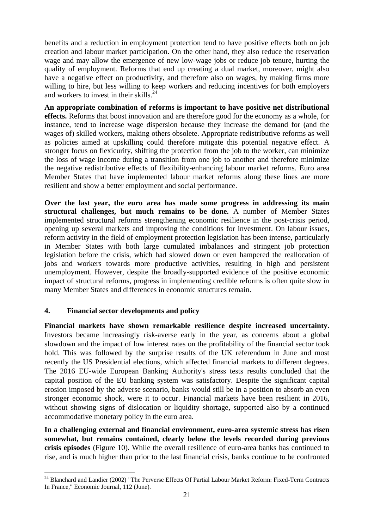benefits and a reduction in employment protection tend to have positive effects both on job creation and labour market participation. On the other hand, they also reduce the reservation wage and may allow the emergence of new low-wage jobs or reduce job tenure, hurting the quality of employment. Reforms that end up creating a dual market, moreover, might also have a negative effect on productivity, and therefore also on wages, by making firms more willing to hire, but less willing to keep workers and reducing incentives for both employers and workers to invest in their skills. 24

**An appropriate combination of reforms is important to have positive net distributional effects.** Reforms that boost innovation and are therefore good for the economy as a whole, for instance, tend to increase wage dispersion because they increase the demand for (and the wages of) skilled workers, making others obsolete. Appropriate redistributive reforms as well as policies aimed at upskilling could therefore mitigate this potential negative effect. A stronger focus on flexicurity, shifting the protection from the job to the worker, can minimize the loss of wage income during a transition from one job to another and therefore minimize the negative redistributive effects of flexibility-enhancing labour market reforms. Euro area Member States that have implemented labour market reforms along these lines are more resilient and show a better employment and social performance.

**Over the last year, the euro area has made some progress in addressing its main structural challenges, but much remains to be done.** A number of Member States implemented structural reforms strengthening economic resilience in the post-crisis period, opening up several markets and improving the conditions for investment. On labour issues, reform activity in the field of employment protection legislation has been intense, particularly in Member States with both large cumulated imbalances and stringent job protection legislation before the crisis, which had slowed down or even hampered the reallocation of jobs and workers towards more productive activities, resulting in high and persistent unemployment. However, despite the broadly-supported evidence of the positive economic impact of structural reforms, progress in implementing credible reforms is often quite slow in many Member States and differences in economic structures remain.

## <span id="page-20-0"></span>**4. Financial sector developments and policy**

**Financial markets have shown remarkable resilience despite increased uncertainty.** Investors became increasingly risk-averse early in the year, as concerns about a global slowdown and the impact of low interest rates on the profitability of the financial sector took hold. This was followed by the surprise results of the UK referendum in June and most recently the US Presidential elections, which affected financial markets to different degrees. The 2016 EU-wide European Banking Authority's stress tests results concluded that the capital position of the EU banking system was satisfactory. Despite the significant capital erosion imposed by the adverse scenario, banks would still be in a position to absorb an even stronger economic shock, were it to occur. Financial markets have been resilient in 2016, without showing signs of dislocation or liquidity shortage, supported also by a continued accommodative monetary policy in the euro area.

**In a challenging external and financial environment, euro-area systemic stress has risen somewhat, but remains contained, clearly below the levels recorded during previous crisis episodes** (Figure 10). While the overall resilience of euro-area banks has continued to rise, and is much higher than prior to the last financial crisis, banks continue to be confronted

**<sup>.</sup>** <sup>24</sup> Blanchard and Landier (2002) "The Perverse Effects Of Partial Labour Market Reform: Fixed-Term Contracts In France," Economic Journal, 112 (June).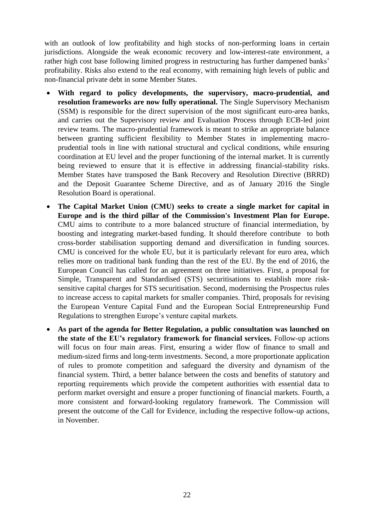with an outlook of low profitability and high stocks of non-performing loans in certain jurisdictions. Alongside the weak economic recovery and low-interest-rate environment, a rather high cost base following limited progress in restructuring has further dampened banks' profitability. Risks also extend to the real economy, with remaining high levels of public and non-financial private debt in some Member States.

- **With regard to policy developments, the supervisory, macro-prudential, and resolution frameworks are now fully operational.** The Single Supervisory Mechanism (SSM) is responsible for the direct supervision of the most significant euro-area banks, and carries out the Supervisory review and Evaluation Process through ECB-led joint review teams. The macro-prudential framework is meant to strike an appropriate balance between granting sufficient flexibility to Member States in implementing macroprudential tools in line with national structural and cyclical conditions, while ensuring coordination at EU level and the proper functioning of the internal market. It is currently being reviewed to ensure that it is effective in addressing financial-stability risks. Member States have transposed the Bank Recovery and Resolution Directive (BRRD) and the Deposit Guarantee Scheme Directive, and as of January 2016 the Single Resolution Board is operational.
- **The Capital Market Union (CMU) seeks to create a single market for capital in Europe and is the third pillar of the Commission's Investment Plan for Europe.**  CMU aims to contribute to a more balanced structure of financial intermediation, by boosting and integrating market-based funding. It should therefore contribute to both cross-border stabilisation supporting demand and diversification in funding sources. CMU is conceived for the whole EU, but it is particularly relevant for euro area, which relies more on traditional bank funding than the rest of the EU. By the end of 2016, the European Council has called for an agreement on three initiatives. First, a proposal for Simple, Transparent and Standardised (STS) securitisations to establish more risksensitive capital charges for STS securitisation. Second, modernising the Prospectus rules to increase access to capital markets for smaller companies. Third, proposals for revising the European Venture Capital Fund and the European Social Entrepreneurship Fund Regulations to strengthen Europe's venture capital markets.
- **As part of the agenda for Better Regulation, a public consultation was launched on the state of the EU's regulatory framework for financial services.** Follow-up actions will focus on four main areas. First, ensuring a wider flow of finance to small and medium-sized firms and long-term investments. Second, a more proportionate application of rules to promote competition and safeguard the diversity and dynamism of the financial system. Third, a better balance between the costs and benefits of statutory and reporting requirements which provide the competent authorities with essential data to perform market oversight and ensure a proper functioning of financial markets. Fourth, a more consistent and forward-looking regulatory framework. The Commission will present the outcome of the Call for Evidence, including the respective follow-up actions, in November.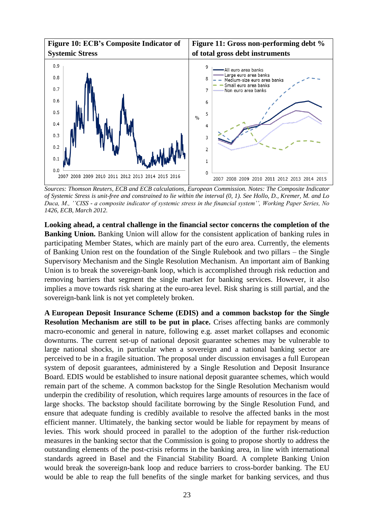

*Sources: Thomson Reuters, ECB and ECB calculations, European Commission. Notes: The Composite Indicator of Systemic Stress is unit-free and constrained to lie within the interval (0, 1). See Hollo, D., Kremer, M. and Lo Duca, M., ''CISS - a composite indicator of systemic stress in the financial system'', Working Paper Series, No 1426, ECB, March 2012.*

**Looking ahead, a central challenge in the financial sector concerns the completion of the Banking Union.** Banking Union will allow for the consistent application of banking rules in participating Member States, which are mainly part of the euro area. Currently, the elements of Banking Union rest on the foundation of the Single Rulebook and two pillars – the Single Supervisory Mechanism and the Single Resolution Mechanism. An important aim of Banking Union is to break the sovereign-bank loop, which is accomplished through risk reduction and removing barriers that segment the single market for banking services. However, it also implies a move towards risk sharing at the euro-area level. Risk sharing is still partial, and the sovereign-bank link is not yet completely broken.

**A European Deposit Insurance Scheme (EDIS) and a common backstop for the Single Resolution Mechanism are still to be put in place.** Crises affecting banks are commonly macro-economic and general in nature, following e.g. asset market collapses and economic downturns. The current set-up of national deposit guarantee schemes may be vulnerable to large national shocks, in particular when a sovereign and a national banking sector are perceived to be in a fragile situation. The proposal under discussion envisages a full European system of deposit guarantees, administered by a Single Resolution and Deposit Insurance Board. EDIS would be established to insure national deposit guarantee schemes, which would remain part of the scheme. A common backstop for the Single Resolution Mechanism would underpin the credibility of resolution, which requires large amounts of resources in the face of large shocks. The backstop should facilitate borrowing by the Single Resolution Fund, and ensure that adequate funding is credibly available to resolve the affected banks in the most efficient manner. Ultimately, the banking sector would be liable for repayment by means of levies. This work should proceed in parallel to the adoption of the further risk-reduction measures in the banking sector that the Commission is going to propose shortly to address the outstanding elements of the post-crisis reforms in the banking area, in line with international standards agreed in Basel and the Financial Stability Board. A complete Banking Union would break the sovereign-bank loop and reduce barriers to cross-border banking. The EU would be able to reap the full benefits of the single market for banking services, and thus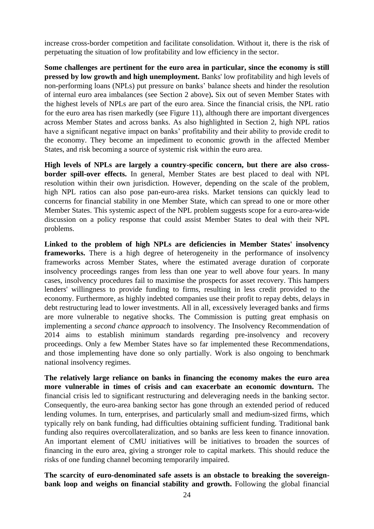increase cross-border competition and facilitate consolidation. Without it, there is the risk of perpetuating the situation of low profitability and low efficiency in the sector.

**Some challenges are pertinent for the euro area in particular, since the economy is still pressed by low growth and high unemployment.** Banks' low profitability and high levels of non-performing loans (NPLs) put pressure on banks' balance sheets and hinder the resolution of internal euro area imbalances (see Section 2 above)**.** Six out of seven Member States with the highest levels of NPLs are part of the euro area. Since the financial crisis, the NPL ratio for the euro area has risen markedly (see Figure 11), although there are important divergences across Member States and across banks. As also highlighted in Section 2, high NPL ratios have a significant negative impact on banks' profitability and their ability to provide credit to the economy. They become an impediment to economic growth in the affected Member States, and risk becoming a source of systemic risk within the euro area.

**High levels of NPLs are largely a country-specific concern, but there are also crossborder spill-over effects.** In general, Member States are best placed to deal with NPL resolution within their own jurisdiction. However, depending on the scale of the problem, high NPL ratios can also pose pan-euro-area risks. Market tensions can quickly lead to concerns for financial stability in one Member State, which can spread to one or more other Member States. This systemic aspect of the NPL problem suggests scope for a euro-area-wide discussion on a policy response that could assist Member States to deal with their NPL problems.

**Linked to the problem of high NPLs are deficiencies in Member States' insolvency frameworks.** There is a high degree of heterogeneity in the performance of insolvency frameworks across Member States, where the estimated average duration of corporate insolvency proceedings ranges from less than one year to well above four years. In many cases, insolvency procedures fail to maximise the prospects for asset recovery. This hampers lenders' willingness to provide funding to firms, resulting in less credit provided to the economy. Furthermore, as highly indebted companies use their profit to repay debts, delays in debt restructuring lead to lower investments. All in all, excessively leveraged banks and firms are more vulnerable to negative shocks. The Commission is putting great emphasis on implementing a *second chance approach* to insolvency. The Insolvency Recommendation of 2014 aims to establish minimum standards regarding pre-insolvency and recovery proceedings. Only a few Member States have so far implemented these Recommendations, and those implementing have done so only partially. Work is also ongoing to benchmark national insolvency regimes.

**The relatively large reliance on banks in financing the economy makes the euro area more vulnerable in times of crisis and can exacerbate an economic downturn.** The financial crisis led to significant restructuring and deleveraging needs in the banking sector. Consequently, the euro-area banking sector has gone through an extended period of reduced lending volumes. In turn, enterprises, and particularly small and medium-sized firms, which typically rely on bank funding, had difficulties obtaining sufficient funding. Traditional bank funding also requires overcollateralization, and so banks are less keen to finance innovation. An important element of CMU initiatives will be initiatives to broaden the sources of financing in the euro area, giving a stronger role to capital markets. This should reduce the risks of one funding channel becoming temporarily impaired.

**The scarcity of euro-denominated safe assets is an obstacle to breaking the sovereignbank loop and weighs on financial stability and growth.** Following the global financial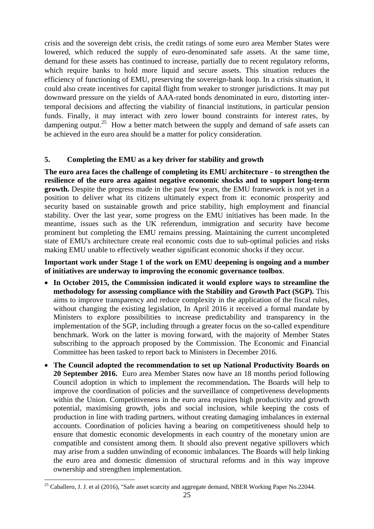crisis and the sovereign debt crisis, the credit ratings of some euro area Member States were lowered, which reduced the supply of euro-denominated safe assets. At the same time, demand for these assets has continued to increase, partially due to recent regulatory reforms, which require banks to hold more liquid and secure assets. This situation reduces the efficiency of functioning of EMU, preserving the sovereign-bank loop. In a crisis situation, it could also create incentives for capital flight from weaker to stronger jurisdictions. It may put downward pressure on the yields of AAA-rated bonds denominated in euro, distorting intertemporal decisions and affecting the viability of financial institutions, in particular pension funds. Finally, it may interact with zero lower bound constraints for interest rates, by dampening output.<sup>25</sup> How a better match between the supply and demand of safe assets can be achieved in the euro area should be a matter for policy consideration.

### <span id="page-24-0"></span>**5. Completing the EMU as a key driver for stability and growth**

**The euro area faces the challenge of completing its EMU architecture - to strengthen the resilience of the euro area against negative economic shocks and to support long-term growth.** Despite the progress made in the past few years, the EMU framework is not yet in a position to deliver what its citizens ultimately expect from it: economic prosperity and security based on sustainable growth and price stability, high employment and financial stability. Over the last year, some progress on the EMU initiatives has been made. In the meantime, issues such as the UK referendum, immigration and security have become prominent but completing the EMU remains pressing. Maintaining the current uncompleted state of EMU's architecture create real economic costs due to sub-optimal policies and risks making EMU unable to effectively weather significant economic shocks if they occur.

**Important work under Stage 1 of the work on EMU deepening is ongoing and a number of initiatives are underway to improving the economic governance toolbox**.

- **In October 2015, the Commission indicated it would explore ways to streamline the methodology for assessing compliance with the Stability and Growth Pact (SGP).** This aims to improve transparency and reduce complexity in the application of the fiscal rules, without changing the existing legislation, In April 2016 it received a formal mandate by Ministers to explore possibilities to increase predictability and transparency in the implementation of the SGP, including through a greater focus on the so-called expenditure benchmark. Work on the latter is moving forward, with the majority of Member States subscribing to the approach proposed by the Commission. The Economic and Financial Committee has been tasked to report back to Ministers in December 2016.
- **The Council adopted the recommendation to set up National Productivity Boards on 20 September 2016.** Euro area Member States now have an 18 months period following Council adoption in which to implement the recommendation**.** The Boards will help to improve the coordination of policies and the surveillance of competiveness developments within the Union. Competitiveness in the euro area requires high productivity and growth potential, maximising growth, jobs and social inclusion, while keeping the costs of production in line with trading partners, without creating damaging imbalances in external accounts. Coordination of policies having a bearing on competitiveness should help to ensure that domestic economic developments in each country of the monetary union are compatible and consistent among them. It should also prevent negative spillovers which may arise from a sudden unwinding of economic imbalances. The Boards will help linking the euro area and domestic dimension of structural reforms and in this way improve ownership and strengthen implementation.

<sup>&</sup>lt;sup>25</sup> Caballero, J. J. et al (2016), "Safe asset scarcity and aggregate demand, NBER Working Paper No.22044.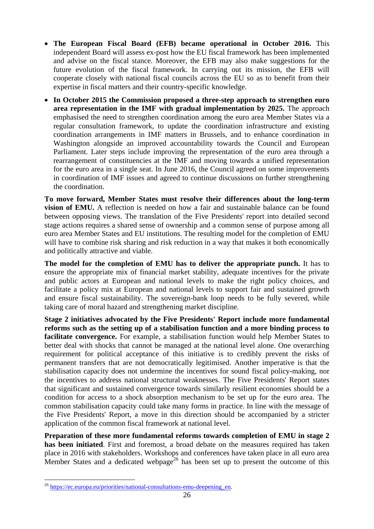- **The European Fiscal Board (EFB) became operational in October 2016.** This independent Board will assess ex-post how the EU fiscal framework has been implemented and advise on the fiscal stance. Moreover, the EFB may also make suggestions for the future evolution of the fiscal framework. In carrying out its mission, the EFB will cooperate closely with national fiscal councils across the EU so as to benefit from their expertise in fiscal matters and their country-specific knowledge.
- **In October 2015 the Commission proposed a three-step approach to strengthen euro area representation in the IMF with gradual implementation by 2025.** The approach emphasised the need to strengthen coordination among the euro area Member States via a regular consultation framework, to update the coordination infrastructure and existing coordination arrangements in IMF matters in Brussels, and to enhance coordination in Washington alongside an improved accountability towards the Council and European Parliament. Later steps include improving the representation of the euro area through a rearrangement of constituencies at the IMF and moving towards a unified representation for the euro area in a single seat. In June 2016, the Council agreed on some improvements in coordination of IMF issues and agreed to continue discussions on further strengthening the coordination.

**To move forward, Member States must resolve their differences about the long-term vision of EMU.** A reflection is needed on how a fair and sustainable balance can be found between opposing views. The translation of the Five Presidents' report into detailed second stage actions requires a shared sense of ownership and a common sense of purpose among all euro area Member States and EU institutions. The resulting model for the completion of EMU will have to combine risk sharing and risk reduction in a way that makes it both economically and politically attractive and viable.

**The model for the completion of EMU has to deliver the appropriate punch.** It has to ensure the appropriate mix of financial market stability, adequate incentives for the private and public actors at European and national levels to make the right policy choices, and facilitate a policy mix at European and national levels to support fair and sustained growth and ensure fiscal sustainability. The sovereign-bank loop needs to be fully severed, while taking care of moral hazard and strengthening market discipline.

**Stage 2 initiatives advocated by the Five Presidents' Report include more fundamental reforms such as the setting up of a stabilisation function and a more binding process to facilitate convergence.** For example, a stabilisation function would help Member States to better deal with shocks that cannot be managed at the national level alone. One overarching requirement for political acceptance of this initiative is to credibly prevent the risks of permanent transfers that are not democratically legitimised. Another imperative is that the stabilisation capacity does not undermine the incentives for sound fiscal policy-making, nor the incentives to address national structural weaknesses. The Five Presidents' Report states that significant and sustained convergence towards similarly resilient economies should be a condition for access to a shock absorption mechanism to be set up for the euro area. The common stabilisation capacity could take many forms in practice. In line with the message of the Five Presidents' Report, a move in this direction should be accompanied by a stricter application of the common fiscal framework at national level.

**Preparation of these more fundamental reforms towards completion of EMU in stage 2 has been initiated**. First and foremost, a broad debate on the measures required has taken place in 2016 with stakeholders. Workshops and conferences have taken place in all euro area Member States and a dedicated webpage<sup>26</sup> has been set up to present the outcome of this

<sup>&</sup>lt;sup>26</sup> [https://ec.europa.eu/priorities/national-consultations-emu-deepening\\_en.](https://ec.europa.eu/priorities/national-consultations-emu-deepening_en)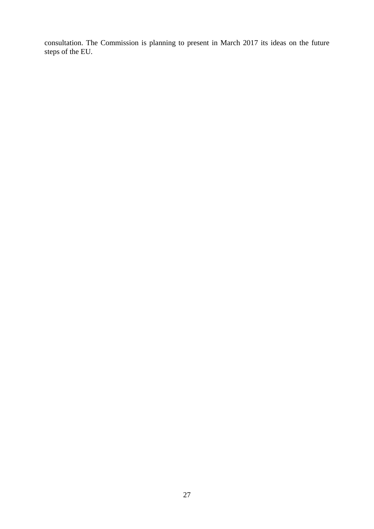consultation. The Commission is planning to present in March 2017 its ideas on the future steps of the EU.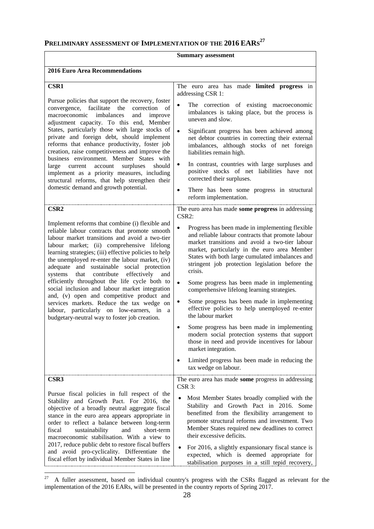## **PRELIMINARY ASSESSMENT OF IMPLEMENTATION OF THE 2016 EARS 27**

#### **Summary assessment**

| <b>2016 Euro Area Recommendations</b>                                                                                                                                                                                                                                                                                                                                                                                                                                                                                                                                                                                                                                                                                            |                                                                                                                                                                                                                                                                                                                                                                                                                                                                                                                                                                                                                                                                                                                                                                                                                                                                                          |  |  |
|----------------------------------------------------------------------------------------------------------------------------------------------------------------------------------------------------------------------------------------------------------------------------------------------------------------------------------------------------------------------------------------------------------------------------------------------------------------------------------------------------------------------------------------------------------------------------------------------------------------------------------------------------------------------------------------------------------------------------------|------------------------------------------------------------------------------------------------------------------------------------------------------------------------------------------------------------------------------------------------------------------------------------------------------------------------------------------------------------------------------------------------------------------------------------------------------------------------------------------------------------------------------------------------------------------------------------------------------------------------------------------------------------------------------------------------------------------------------------------------------------------------------------------------------------------------------------------------------------------------------------------|--|--|
| <b>CSR1</b><br>Pursue policies that support the recovery, foster<br>facilitate<br>convergence,<br>the<br>correction<br>- of<br>macroeconomic<br>imbalances<br>and<br>improve<br>adjustment capacity. To this end, Member<br>States, particularly those with large stocks of<br>private and foreign debt, should implement<br>reforms that enhance productivity, foster job<br>creation, raise competitiveness and improve the<br>business environment. Member States with<br>large<br>account surpluses<br>should<br>current<br>implement as a priority measures, including<br>structural reforms, that help strengthen their<br>domestic demand and growth potential.                                                           | The euro area has made limited progress in<br>addressing CSR 1:<br>The correction of existing macroeconomic<br>imbalances is taking place, but the process is<br>uneven and slow.<br>Significant progress has been achieved among<br>net debtor countries in correcting their external<br>imbalances, although stocks of net foreign<br>liabilities remain high.<br>In contrast, countries with large surpluses and<br>positive stocks of net liabilities have not<br>corrected their surpluses.<br>There has been some progress in structural<br>$\bullet$<br>reform implementation.                                                                                                                                                                                                                                                                                                    |  |  |
| CSR <sub>2</sub><br>Implement reforms that combine (i) flexible and<br>reliable labour contracts that promote smooth<br>labour market transitions and avoid a two-tier<br>labour market; (ii) comprehensive lifelong<br>learning strategies; (iii) effective policies to help<br>the unemployed re-enter the labour market, (iv)<br>adequate and sustainable social protection<br>systems<br>contribute<br>effectively<br>that<br>and<br>efficiently throughout the life cycle both to<br>social inclusion and labour market integration<br>and, (v) open and competitive product and<br>services markets. Reduce the tax wedge on<br>labour, particularly on low-earners, in a<br>budgetary-neutral way to foster job creation. | The euro area has made some progress in addressing<br>CSR2:<br>Progress has been made in implementing flexible<br>and reliable labour contracts that promote labour<br>market transitions and avoid a two-tier labour<br>market, particularly in the euro area Member<br>States with both large cumulated imbalances and<br>stringent job protection legislation before the<br>crisis.<br>Some progress has been made in implementing<br>$\bullet$<br>comprehensive lifelong learning strategies.<br>Some progress has been made in implementing<br>effective policies to help unemployed re-enter<br>the labour market<br>Some progress has been made in implementing<br>$\bullet$<br>modern social protection systems that support<br>those in need and provide incentives for labour<br>market integration.<br>Limited progress has been made in reducing the<br>tax wedge on labour. |  |  |
| CSR <sub>3</sub><br>Pursue fiscal policies in full respect of the<br>Stability and Growth Pact. For 2016, the<br>objective of a broadly neutral aggregate fiscal<br>stance in the euro area appears appropriate in<br>order to reflect a balance between long-term<br>short-term<br>fiscal<br>sustainability<br>and<br>macroeconomic stabilisation. With a view to<br>2017, reduce public debt to restore fiscal buffers<br>and avoid pro-cyclicality. Differentiate the<br>fiscal effort by individual Member States in line                                                                                                                                                                                                    | The euro area has made some progress in addressing<br>CSR 3:<br>Most Member States broadly complied with the<br>Stability and Growth Pact in 2016. Some<br>benefitted from the flexibility arrangement to<br>promote structural reforms and investment. Two<br>Member States required new deadlines to correct<br>their excessive deficits.<br>For 2016, a slightly expansionary fiscal stance is<br>expected, which is deemed appropriate for<br>stabilisation purposes in a still tepid recovery,                                                                                                                                                                                                                                                                                                                                                                                      |  |  |

<sup>&</sup>lt;sup>27</sup> A fuller assessment, based on individual country's progress with the CSRs flagged as relevant for the implementation of the 2016 EARs, will be presented in the country reports of Spring 2017.